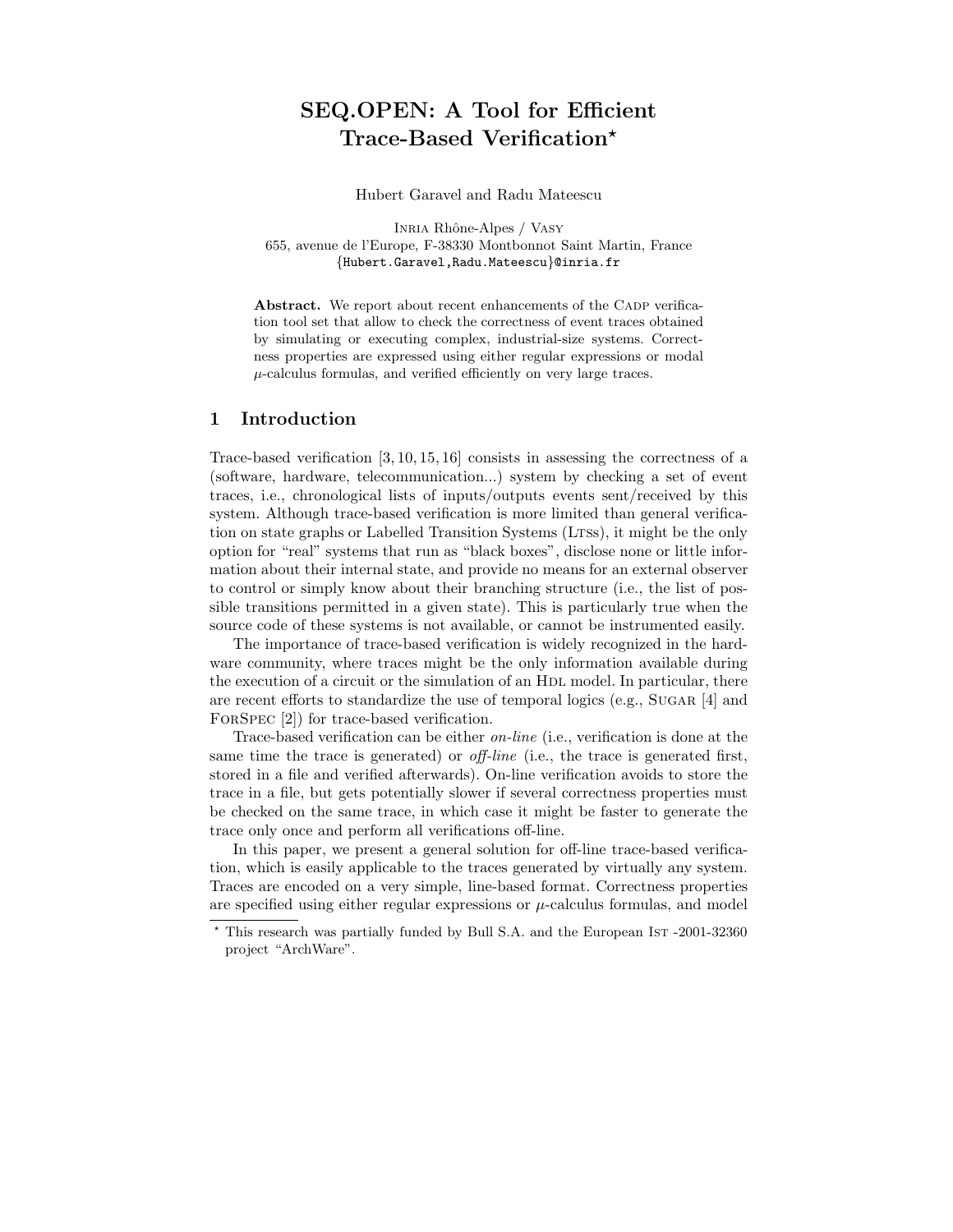# **SEQ.OPEN: A Tool for Efficient Trace-Based Verification**

Hubert Garavel and Radu Mateescu

INRIA Rhône-Alpes / VASY 655, avenue de l'Europe, F-38330 Montbonnot Saint Martin, France *{*Hubert.Garavel,Radu.Mateescu*}*@inria.fr

Abstract. We report about recent enhancements of the CADP verification tool set that allow to check the correctness of event traces obtained by simulating or executing complex, industrial-size systems. Correctness properties are expressed using either regular expressions or modal  $\mu$ -calculus formulas, and verified efficiently on very large traces.

## **1 Introduction**

Trace-based verification  $[3, 10, 15, 16]$  consists in assessing the correctness of a (software, hardware, telecommunication...) system by checking a set of event traces, i.e., chronological lists of inputs/outputs events sent/received by this system. Although trace-based verification is more limited than general verification on state graphs or Labelled Transition Systems (LTSS), it might be the only option for "real" systems that run as "black boxes", disclose none or little information about their internal state, and provide no means for an external observer to control or simply know about their branching structure (i.e., the list of possible transitions permitted in a given state). This is particularly true when the source code of these systems is not available, or cannot be instrumented easily.

The importance of trace-based verification is widely recognized in the hardware community, where traces might be the only information available during the execution of a circuit or the simulation of an HDL model. In particular, there are recent efforts to standardize the use of temporal logics (e.g., SUGAR  $[4]$  and FORSPEC [2]) for trace-based verification.

Trace-based verification can be either *on-line* (i.e., verification is done at the same time the trace is generated) or *off-line* (i.e., the trace is generated first, stored in a file and verified afterwards). On-line verification avoids to store the trace in a file, but gets potentially slower if several correctness properties must be checked on the same trace, in which case it might be faster to generate the trace only once and perform all verifications off-line.

In this paper, we present a general solution for off-line trace-based verification, which is easily applicable to the traces generated by virtually any system. Traces are encoded on a very simple, line-based format. Correctness properties are specified using either regular expressions or  $\mu$ -calculus formulas, and model

 $*$  This research was partially funded by Bull S.A. and the European Ist -2001-32360 project "ArchWare".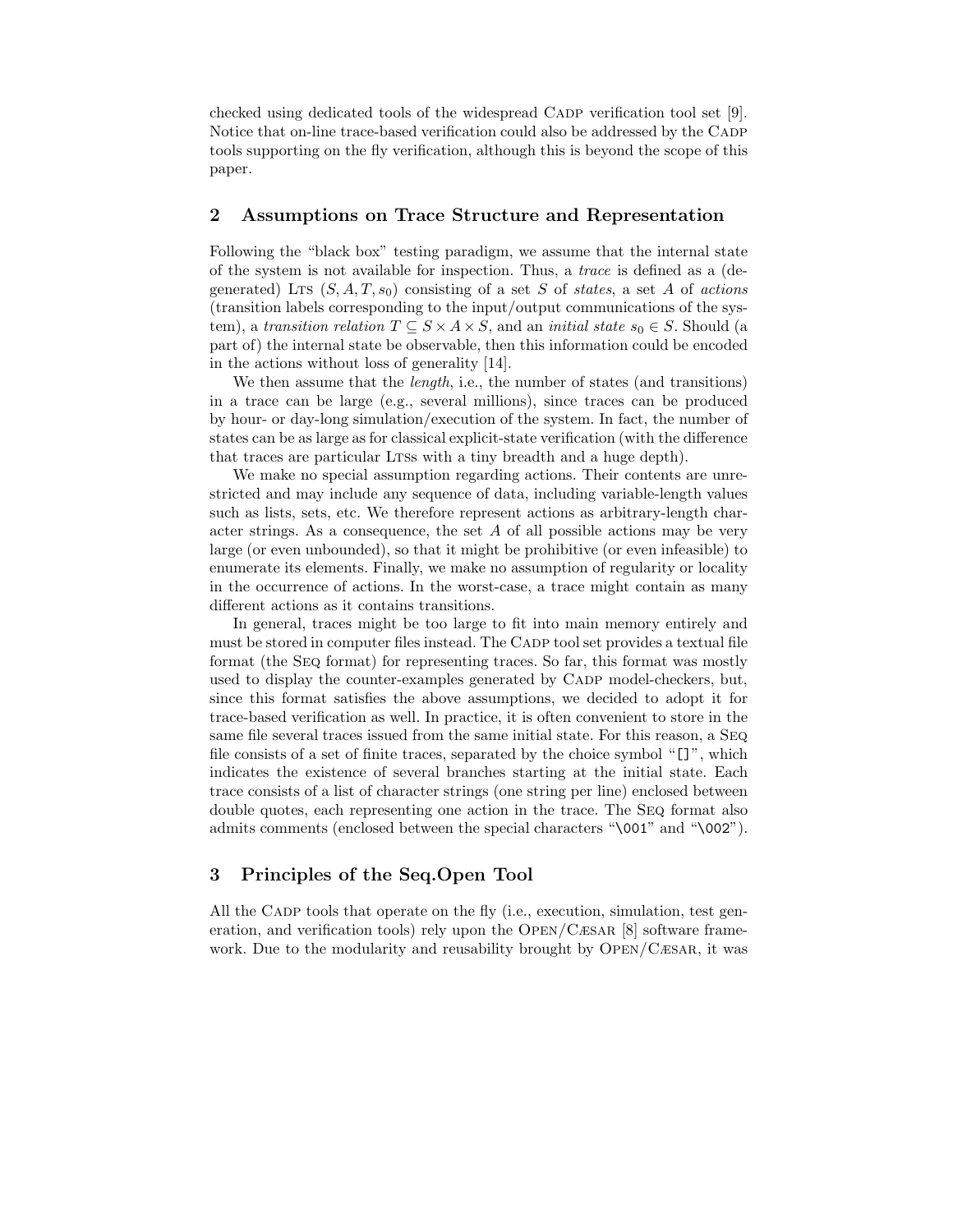checked using dedicated tools of the widespread CADP verification tool set [9]. Notice that on-line trace-based verification could also be addressed by the CADP tools supporting on the fly verification, although this is beyond the scope ofthis paper.

#### **2 Assumptions on Trace Structure and Representation**

Following the "black box" testing paradigm, we assume that the internal state ofthe system is not available for inspection. Thus, a *trace* is defined as a (degenerated) LTS  $(S, A, T, s_0)$  consisting of a set S of *states*, a set A of *actions* (transition labels corresponding to the input/output communications ofthe system), a *transition relation*  $T \subseteq S \times A \times S$ , and an *initial state*  $s_0 \in S$ . Should (a part of) the internal state be observable, then this information could be encoded in the actions without loss of generality  $[14]$ .

We then assume that the *length*, i.e., the number of states (and transitions) in a trace can be large (e.g., several millions), since traces can be produced by hour- or day-long simulation/execution of the system. In fact, the number of states can be as large as for classical explicit-state verification (with the difference that traces are particular LTSs with a tiny breadth and a huge depth).

We make no special assumption regarding actions. Their contents are unrestricted and may include any sequence of data, including variable-length values such as lists, sets, etc. We therefore represent actions as arbitrary-length character strings. As a consequence, the set  $A$  of all possible actions may be very large (or even unbounded), so that it might be prohibitive (or even infeasible) to enumerate its elements. Finally, we make no assumption of regularity or locality in the occurrence of actions. In the worst-case, a trace might contain as many different actions as it contains transitions.

In general, traces might be too large to fit into main memory entirely and must be stored in computer files instead. The CADP tool set provides a textual file format (the Seq format) for representing traces. So far, this format was mostly used to display the counter-examples generated by CADP model-checkers, but, since this format satisfies the above assumptions, we decided to adopt it for trace-based verification as well. In practice, it is often convenient to store in the same file several traces issued from the same initial state. For this reason, a Seq file consists of a set of finite traces, separated by the choice symbol " $[$ ]", which indicates the existence of several branches starting at the initial state. Each trace consists of a list of character strings (one string per line) enclosed between double quotes, each representing one action in the trace. The Seq format also admits comments (enclosed between the special characters "\001" and "\002").

## **3 Principles of the Seq.Open Tool**

All the CADP tools that operate on the fly (i.e., execution, simulation, test generation, and verification tools) rely upon the Open/Cæsar [8] software framework. Due to the modularity and reusability brought by Open/Cæsar, it was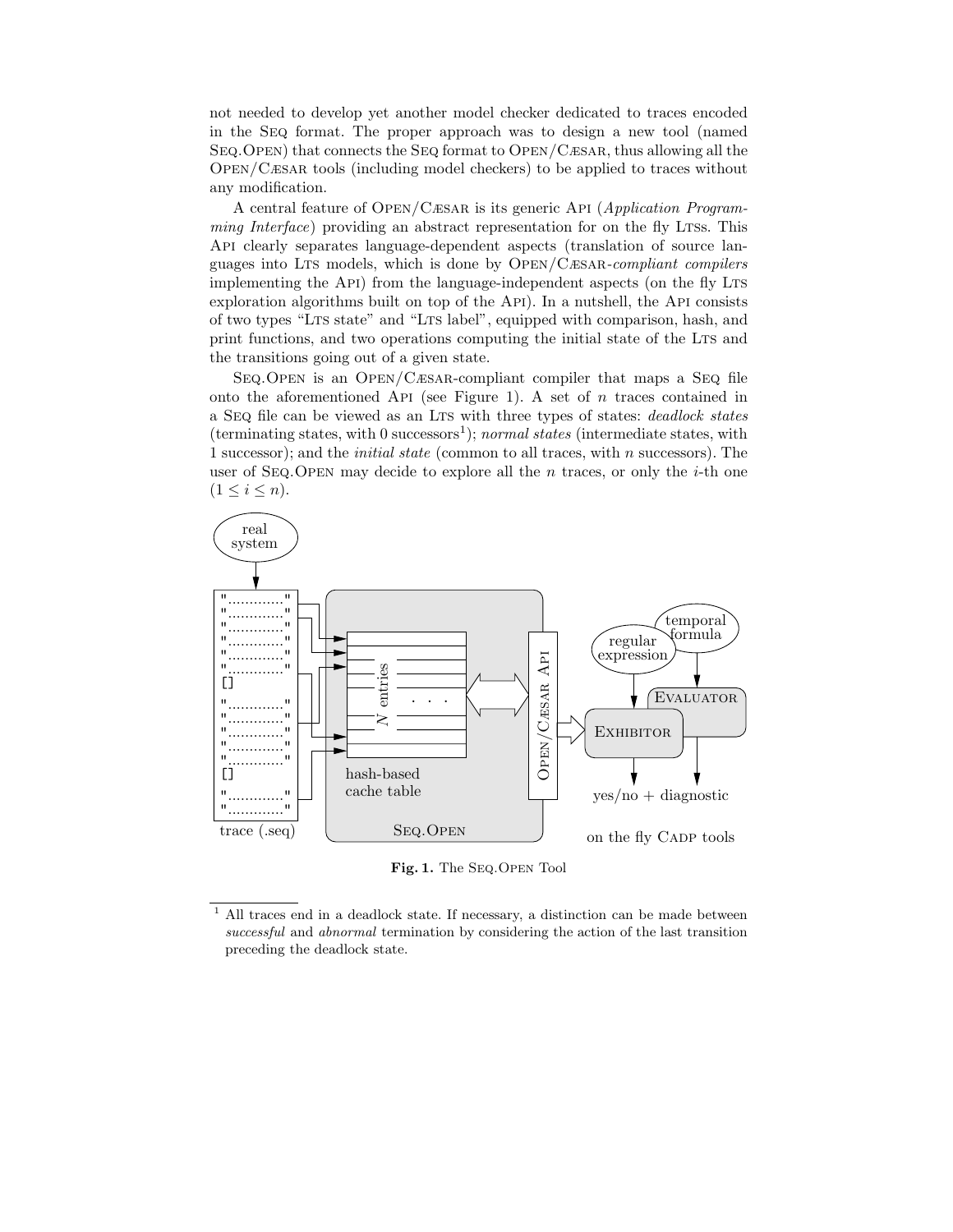not needed to develop yet another model checker dedicated to traces encoded in the Seq format. The proper approach was to design a new tool (named Seq.Open) that connects the Seq format to Open/Cæsar, thus allowing all the Open/Cæsar tools (including model checkers) to be applied to traces without any modification.

A central feature of Open/Cæsar is its generic Api (*Application Programming Interface*) providing an abstract representation for on the fly LTSs. This Api clearly separates language-dependent aspects (translation of source languages into Lts models, which is done by Open/Cæsar*-compliant compilers* implementing the API) from the language-independent aspects (on the fly LTS exploration algorithms built on top of the API). In a nutshell, the API consists oftwo types "Lts state" and "Lts label", equipped with comparison, hash, and print functions, and two operations computing the initial state of the LTS and the transitions going out of a given state.

Seq.Open is an Open/Cæsar-compliant compiler that maps a Seq file onto the aforementioned API (see Figure 1). A set of  $n$  traces contained in a Seq file can be viewed as an Lts with three types ofstates: *deadlock states*  $(terminating states, with 0 successors<sup>1</sup>)$ ; *normal states* (intermediate states, with 1 successor); and the *initial state* (common to all traces, with n successors). The user of SEQ. OPEN may decide to explore all the n traces, or only the  $i$ -th one  $(1 \leq i \leq n).$ 



**Fig. 1.** The Seq.Open Tool

<sup>1</sup> All traces end in a deadlock state. If necessary, a distinction can be made between *successful* and *abnormal* termination by considering the action of the last transition preceding the deadlock state.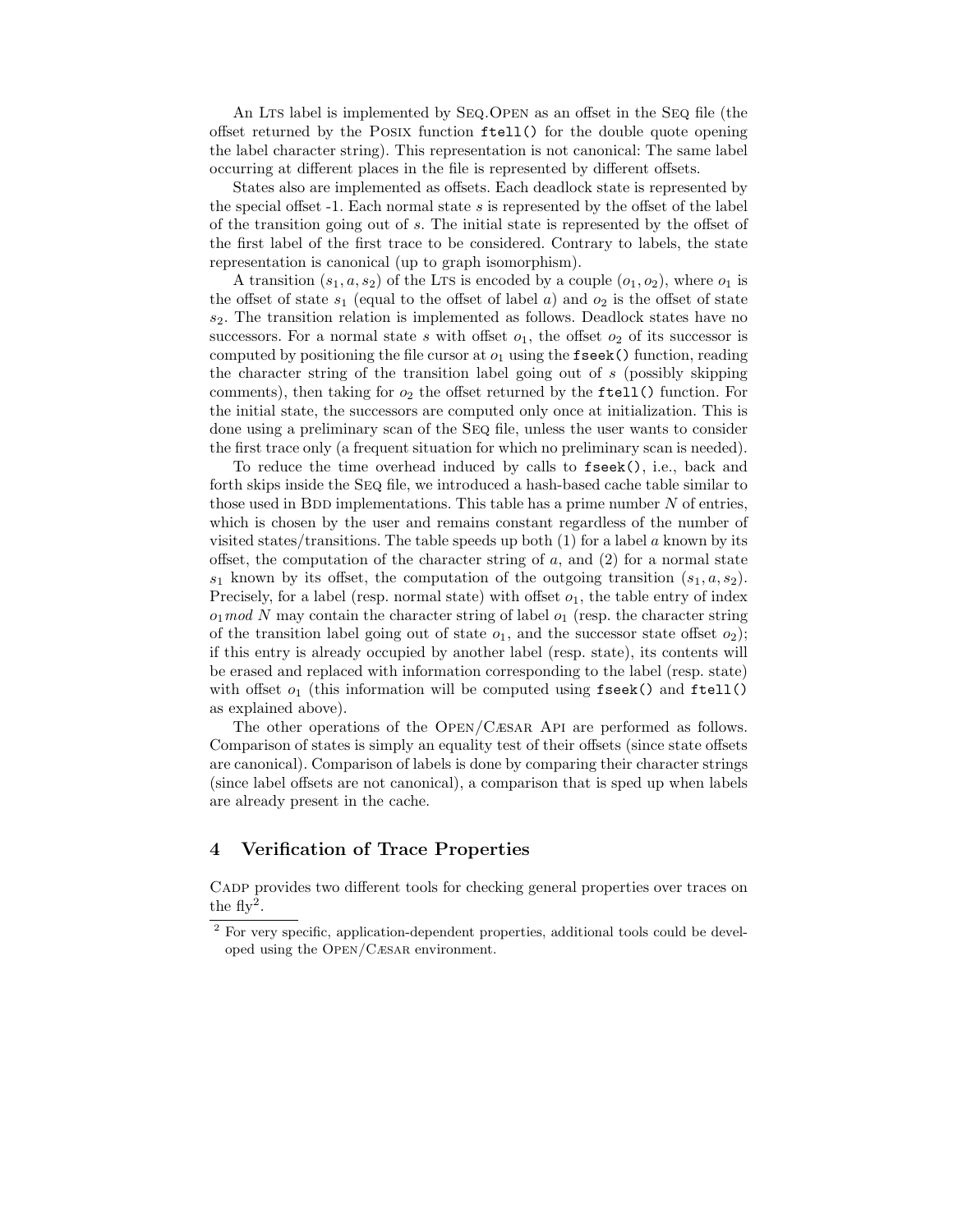An Lts label is implemented by SEQ. OPEN as an offset in the SEQ file (the offset returned by the Posix function ftell() for the double quote opening the label character string). This representation is not canonical: The same label occurring at different places in the file is represented by different offsets.

States also are implemented as offsets. Each deadlock state is represented by the special offset  $-1$ . Each normal state s is represented by the offset of the label of the transition going out of s. The initial state is represented by the offset of the first label of the first trace to be considered. Contrary to labels, the state representation is canonical (up to graph isomorphism).

A transition  $(s_1, a, s_2)$  of the LTs is encoded by a couple  $(o_1, o_2)$ , where  $o_1$  is the offset of state  $s_1$  (equal to the offset of label a) and  $o_2$  is the offset of state  $s_2$ . The transition relation is implemented as follows. Deadlock states have no successors. For a normal state s with offset  $o_1$ , the offset  $o_2$  of its successor is computed by positioning the file cursor at  $o_1$  using the fseek() function, reading the character string of the transition label going out of  $s$  (possibly skipping comments), then taking for  $o_2$  the offset returned by the ftell() function. For the initial state, the successors are computed only once at initialization. This is done using a preliminary scan of the SEQ file, unless the user wants to consider the first trace only (a frequent situation for which no preliminary scan is needed).

To reduce the time overhead induced by calls to fseek(), i.e., back and forth skips inside the Seq file, we introduced a hash-based cache table similar to those used in BDD implementations. This table has a prime number  $N$  of entries, which is chosen by the user and remains constant regardless of the number of visited states/transitions. The table speeds up both  $(1)$  for a label a known by its offset, the computation of the character string of  $a$ , and  $(2)$  for a normal state  $s_1$  known by its offset, the computation of the outgoing transition  $(s_1, a, s_2)$ . Precisely, for a label (resp. normal state) with offset  $o_1$ , the table entry of index  $o_1$  mod N may contain the character string of label  $o_1$  (resp. the character string of the transition label going out of state  $o_1$ , and the successor state offset  $o_2$ ); ifthis entry is already occupied by another label (resp. state), its contents will be erased and replaced with information corresponding to the label (resp. state) with offset  $o_1$  (this information will be computed using fseek() and ftell() as explained above).

The other operations of the OPEN/CÆSAR API are performed as follows. Comparison of states is simply an equality test of their offsets (since state offsets are canonical). Comparison oflabels is done by comparing their character strings (since label offsets are not canonical), a comparison that is sped up when labels are already present in the cache.

### **4 Verification of Trace Properties**

CADP provides two different tools for checking general properties over traces on the  $fly^2$ .

 $2$  For very specific, application-dependent properties, additional tools could be developed using the Open/Cæsar environment.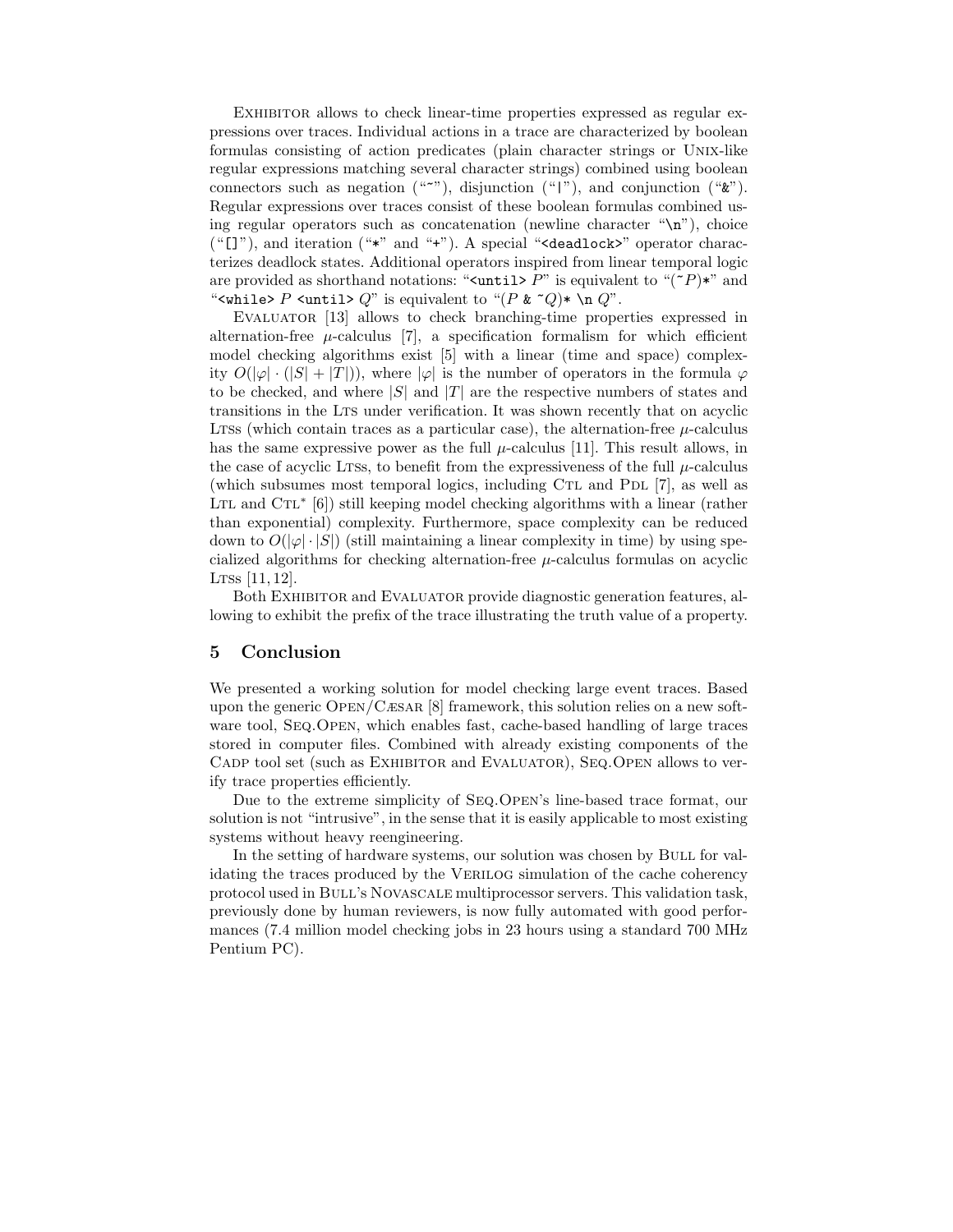EXHIBITOR allows to check linear-time properties expressed as regular expressions over traces. Individual actions in a trace are characterized by boolean formulas consisting of action predicates (plain character strings or Unix-like regular expressions matching several character strings) combined using boolean connectors such as negation ("~"), disjunction ("|"), and conjunction ("&"). Regular expressions over traces consist of these boolean formulas combined using regular operators such as concatenation (newline character " $\mathcal{N}$ "), choice ("[]"), and iteration ("\*" and "+"). A special "<deadlock>" operator characterizes deadlock states. Additional operators inspired from linear temporal logic are provided as shorthand notations: " $\text{curli} > P$ " is equivalent to " $(P)$ \*" and "
"
subset Value P <until Q" is equivalent to " $(P \& \sim Q)$  \n  $Q$ ".

EVALUATOR [13] allows to check branching-time properties expressed in alternation-free  $\mu$ -calculus [7], a specification formalism for which efficient model checking algorithms exist [5] with a linear (time and space) complexity  $O(|\varphi| \cdot (|S| + |T|))$ , where  $|\varphi|$  is the number of operators in the formula  $\varphi$ to be checked, and where  $|S|$  and  $|T|$  are the respective numbers of states and transitions in the Lts under verification. It was shown recently that on acyclic LTSS (which contain traces as a particular case), the alternation-free  $\mu$ -calculus has the same expressive power as the full  $\mu$ -calculus [11]. This result allows, in the case of acyclic LTSs, to benefit from the expressiveness of the full  $\mu$ -calculus (which subsumes most temporal logics, including CTL and PDL [7], as well as LTL and CTL<sup>∗</sup> [6]) still keeping model checking algorithms with a linear (rather than exponential) complexity. Furthermore, space complexity can be reduced down to  $O(|\varphi| \cdot |S|)$  (still maintaining a linear complexity in time) by using specialized algorithms for checking alternation-free  $\mu$ -calculus formulas on acyclic  $L$ TSS [11, 12].

Both EXHIBITOR and EVALUATOR provide diagnostic generation features, allowing to exhibit the prefix of the trace illustrating the truth value of a property.

#### **5 Conclusion**

We presented a working solution for model checking large event traces. Based upon the generic Open/Cæsar [8] framework, this solution relies on a new software tool, Seq.Open, which enables fast, cache-based handling of large traces stored in computer files. Combined with already existing components of the CADP tool set (such as EXHIBITOR and EVALUATOR), SEQ. OPEN allows to verify trace properties efficiently.

Due to the extreme simplicity of Seq.Open's line-based trace format, our solution is not "intrusive", in the sense that it is easily applicable to most existing systems without heavy reengineering.

In the setting of hardware systems, our solution was chosen by BULL for validating the traces produced by the VERILOG simulation of the cache coherency protocol used in Bull's Novascale multiprocessor servers. This validation task, previously done by human reviewers, is now fully automated with good performances (7.4 million model checking jobs in 23 hours using a standard 700 MHz Pentium PC).